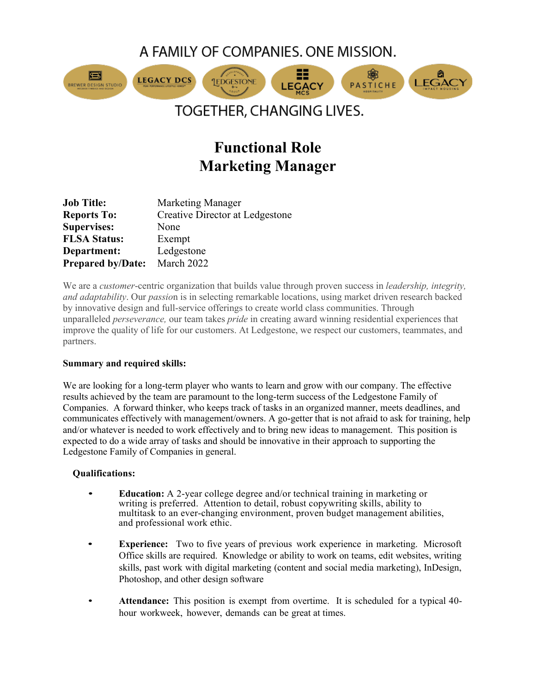A FAMILY OF COMPANIES, ONE MISSION.



# TOGETHER, CHANGING LIVES.

# **Functional Role Marketing Manager**

| <b>Job Title:</b>        | <b>Marketing Manager</b>               |
|--------------------------|----------------------------------------|
| <b>Reports To:</b>       | <b>Creative Director at Ledgestone</b> |
| <b>Supervises:</b>       | None                                   |
| <b>FLSA Status:</b>      | Exempt                                 |
| Department:              | Ledgestone                             |
| <b>Prepared by/Date:</b> | March 2022                             |

We are a *customer*-centric organization that builds value through proven success in *leadership, integrity, and adaptability*. Our *passio*n is in selecting remarkable locations, using market driven research backed by innovative design and full-service offerings to create world class communities. Through unparalleled *perseverance,* our team takes *pride* in creating award winning residential experiences that improve the quality of life for our customers. At Ledgestone, we respect our customers, teammates, and partners.

## **Summary and required skills:**

We are looking for a long-term player who wants to learn and grow with our company. The effective results achieved by the team are paramount to the long-term success of the Ledgestone Family of Companies. A forward thinker, who keeps track of tasks in an organized manner, meets deadlines, and communicates effectively with management/owners. A go-getter that is not afraid to ask for training, help and/or whatever is needed to work effectively and to bring new ideas to management. This position is expected to do a wide array of tasks and should be innovative in their approach to supporting the Ledgestone Family of Companies in general.

## **Qualifications:**

- **Education:** A 2-year college degree and/or technical training in marketing or writing is preferred. Attention to detail, robust copywriting skills, ability to multitask to an ever-changing environment, proven budget management abilities, and professional work ethic.
- **Experience:** Two to five years of previous work experience in marketing. Microsoft Office skills are required. Knowledge or ability to work on teams, edit websites, writing skills, past work with digital marketing (content and social media marketing), InDesign, Photoshop, and other design software
- **Attendance:** This position is exempt from overtime. It is scheduled for a typical 40 hour workweek, however, demands can be great at times.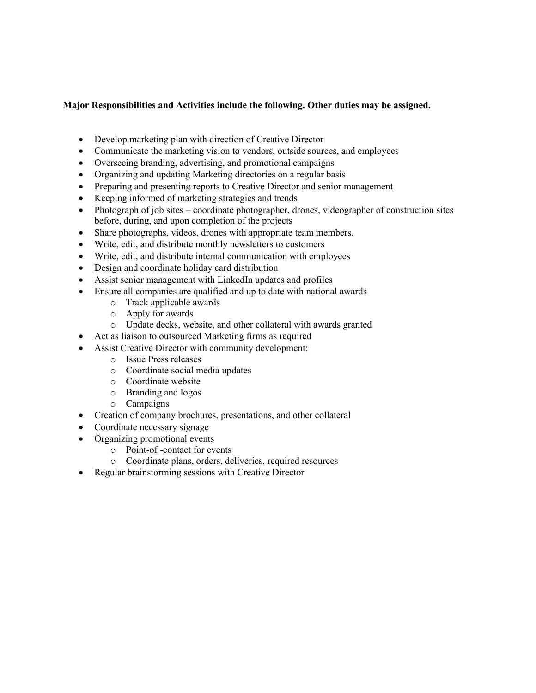#### **Major Responsibilities and Activities include the following. Other duties may be assigned.**

- Develop marketing plan with direction of Creative Director
- Communicate the marketing vision to vendors, outside sources, and employees
- Overseeing branding, advertising, and promotional campaigns
- Organizing and updating Marketing directories on a regular basis
- Preparing and presenting reports to Creative Director and senior management
- Keeping informed of marketing strategies and trends
- Photograph of job sites coordinate photographer, drones, videographer of construction sites before, during, and upon completion of the projects
- Share photographs, videos, drones with appropriate team members.
- Write, edit, and distribute monthly newsletters to customers
- Write, edit, and distribute internal communication with employees
- Design and coordinate holiday card distribution
- Assist senior management with LinkedIn updates and profiles
- Ensure all companies are qualified and up to date with national awards
	- o Track applicable awards
	- o Apply for awards
	- o Update decks, website, and other collateral with awards granted
- Act as liaison to outsourced Marketing firms as required
- Assist Creative Director with community development:
	- o Issue Press releases
	- o Coordinate social media updates
	- o Coordinate website
	- o Branding and logos
	- o Campaigns
- Creation of company brochures, presentations, and other collateral
- Coordinate necessary signage
- Organizing promotional events
	- o Point-of -contact for events
	- o Coordinate plans, orders, deliveries, required resources
- Regular brainstorming sessions with Creative Director